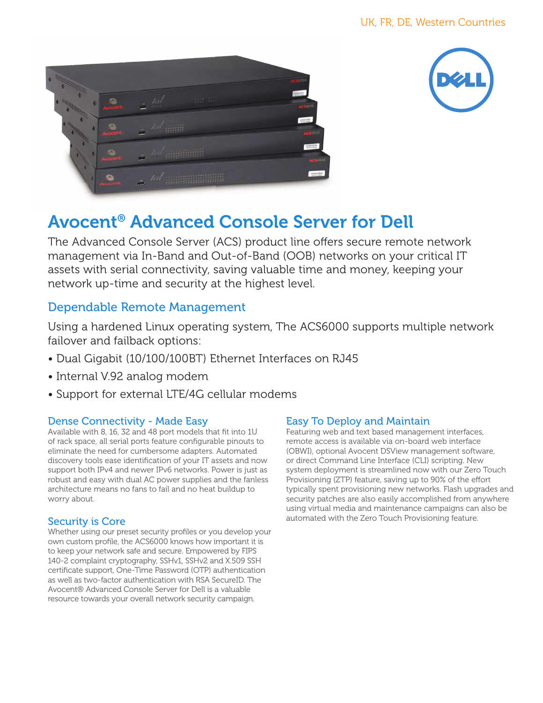



# Avocent® Advanced Console Server for Dell

The Advanced Console Server (ACS) product line offers secure remote network management via In-Band and Out-of-Band (OOB) networks on your critical IT assets with serial connectivity, saving valuable time and money, keeping your network up-time and security at the highest level.

## Dependable Remote Management

Using a hardened Linux operating system, The ACS6000 supports multiple network failover and failback options:

- Dual Gigabit (10/100/100BT) Ethernet Interfaces on RJ45
- Internal V.92 analog modem
- Support for external LTE/4G cellular modems

### Dense Connectivity - Made Easy

Available with 8, 16, 32 and 48 port models that fit into 1U of rack space, all serial ports feature configurable pinouts to eliminate the need for cumbersome adapters. Automated discovery tools ease identification of your IT assets and now support both IPv4 and newer IPv6 networks. Power is just as robust and easy with dual AC power supplies and the fanless architecture means no fans to fail and no heat buildup to worry about.

### Security is Core

Whether using our preset security profiles or you develop your own custom profile, the ACS6000 knows how important it is to keep your network safe and secure. Empowered by FIPS 140-2 complaint cryptography, SSHv1, SSHv2 and X.509 SSH certificate support, One-Time Password (OTP) authentication as well as two-factor authentication with RSA SecureID. The Avocent® Advanced Console Server for Dell is a valuable resource towards your overall network security campaign.

### Easy To Deploy and Maintain

Featuring web and text based management interfaces, remote access is available via on-board web interface (OBWI), optional Avocent DSView management software, or direct Command Line Interface (CLI) scripting. New system deployment is streamlined now with our Zero Touch Provisioning (ZTP) feature, saving up to 90% of the effort typically spent provisioning new networks. Flash upgrades and security patches are also easily accomplished from anywhere using virtual media and maintenance campaigns can also be automated with the Zero Touch Provisioning feature.